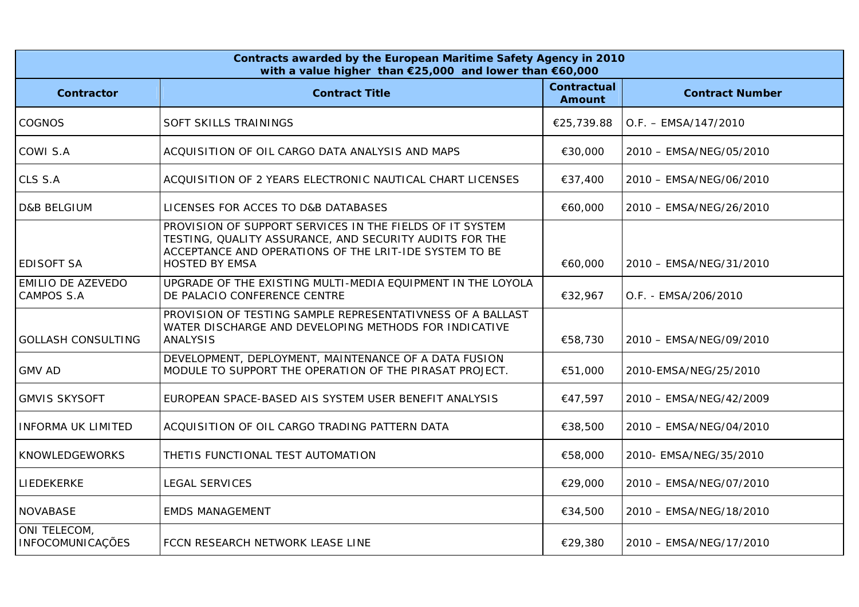| Contracts awarded by the European Maritime Safety Agency in 2010<br>with a value higher than €25,000 and lower than €60,000 |                                                                                                                                                                                                        |                                     |                         |  |
|-----------------------------------------------------------------------------------------------------------------------------|--------------------------------------------------------------------------------------------------------------------------------------------------------------------------------------------------------|-------------------------------------|-------------------------|--|
| <b>Contractor</b>                                                                                                           | <b>Contract Title</b>                                                                                                                                                                                  | <b>Contractual</b><br><b>Amount</b> | <b>Contract Number</b>  |  |
| COGNOS                                                                                                                      | SOFT SKILLS TRAININGS                                                                                                                                                                                  | €25,739.88                          | $O.F. - EMSA/147/2010$  |  |
| COWI S.A                                                                                                                    | ACQUISITION OF OIL CARGO DATA ANALYSIS AND MAPS                                                                                                                                                        | €30,000                             | 2010 - EMSA/NEG/05/2010 |  |
| CLS S.A                                                                                                                     | ACQUISITION OF 2 YEARS ELECTRONIC NAUTICAL CHART LICENSES                                                                                                                                              | €37,400                             | 2010 - EMSA/NEG/06/2010 |  |
| <b>D&amp;B BELGIUM</b>                                                                                                      | LICENSES FOR ACCES TO D&B DATABASES                                                                                                                                                                    | €60,000                             | 2010 - EMSA/NEG/26/2010 |  |
| <b>EDISOFT SA</b>                                                                                                           | PROVISION OF SUPPORT SERVICES IN THE FIELDS OF IT SYSTEM<br>TESTING, QUALITY ASSURANCE, AND SECURITY AUDITS FOR THE<br>ACCEPTANCE AND OPERATIONS OF THE LRIT-IDE SYSTEM TO BE<br><b>HOSTED BY EMSA</b> | €60,000                             | 2010 - EMSA/NEG/31/2010 |  |
| <b>EMILIO DE AZEVEDO</b><br><b>CAMPOS S.A</b>                                                                               | UPGRADE OF THE EXISTING MULTI-MEDIA EQUIPMENT IN THE LOYOLA<br>DE PALACIO CONFERENCE CENTRE                                                                                                            | €32,967                             | O.F. - EMSA/206/2010    |  |
| <b>GOLLASH CONSULTING</b>                                                                                                   | PROVISION OF TESTING SAMPLE REPRESENTATIVNESS OF A BALLAST<br>WATER DISCHARGE AND DEVELOPING METHODS FOR INDICATIVE<br><b>ANALYSIS</b>                                                                 | €58,730                             | 2010 - EMSA/NEG/09/2010 |  |
| <b>GMV AD</b>                                                                                                               | DEVELOPMENT, DEPLOYMENT, MAINTENANCE OF A DATA FUSION<br>MODULE TO SUPPORT THE OPERATION OF THE PIRASAT PROJECT.                                                                                       | €51,000                             | 2010-EMSA/NEG/25/2010   |  |
| <b>GMVIS SKYSOFT</b>                                                                                                        | EUROPEAN SPACE-BASED AIS SYSTEM USER BENEFIT ANALYSIS                                                                                                                                                  | €47,597                             | 2010 - EMSA/NEG/42/2009 |  |
| <b>INFORMA UK LIMITED</b>                                                                                                   | ACQUISITION OF OIL CARGO TRADING PATTERN DATA                                                                                                                                                          | €38,500                             | 2010 - EMSA/NEG/04/2010 |  |
| <b>KNOWLEDGEWORKS</b>                                                                                                       | THETIS FUNCTIONAL TEST AUTOMATION                                                                                                                                                                      | €58,000                             | 2010- EMSA/NEG/35/2010  |  |
| LIEDEKERKE                                                                                                                  | <b>LEGAL SERVICES</b>                                                                                                                                                                                  | €29,000                             | 2010 - EMSA/NEG/07/2010 |  |
| <b>NOVABASE</b>                                                                                                             | <b>EMDS MANAGEMENT</b>                                                                                                                                                                                 | €34,500                             | 2010 - EMSA/NEG/18/2010 |  |
| ONI TELECOM,<br>INFOCOMUNICAÇÕES                                                                                            | FCCN RESEARCH NETWORK LEASE LINE                                                                                                                                                                       | €29,380                             | 2010 - EMSA/NEG/17/2010 |  |